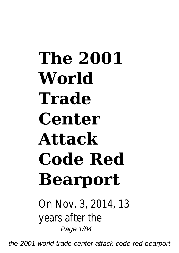## **The 2001 World Trade Center Attack Code Red Bearport**

On Nov. 3, 2014, 13 years after the Page 1/84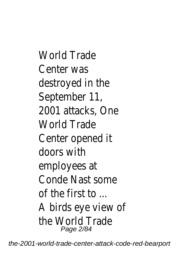World Trade Center was destroyed in the September 11, 2001 attacks, One World Trade Center opened it doors with employees at Conde Nast some of the first to ... A birds eye view of the World Trade Page 2/84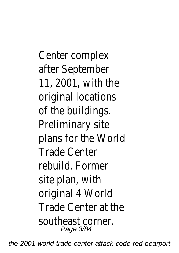Center complex after September 11, 2001, with the original locations of the buildings. Preliminary site plans for the World Trade Center rebuild. Former site plan, with original 4 World Trade Center at the southeast corner. Page 3/84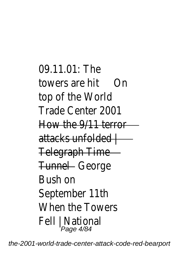```
09.11.01: The
towers are hit On
top of the World
Trade Center 2001
How the 9/11 terror
attacks unfolded |
Telegraph Time
Tunnel - George
Bush on
September 11th
When the Towers
Fell | National
Page 4/84
```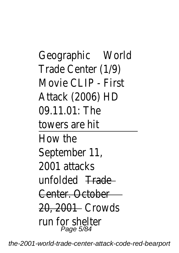Geographic World Trade Center (1/9) Movie CLIP - First Attack (2006) HD 09.11.01: The towers are hit How the September 11, 2001 attacks unfolded <del>Trade</del> Center. October 20, 2001 Crowds run for shelter Page 5/84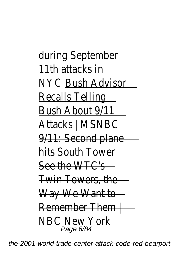during September 11th attacks in NYC Bush Advisor Recalls Telling Bush About 9/11 Attacks | MSNBC 9/11: Second plane hits South Tower See the WTC's Twin Towers, the Way We Want to Remember Them NBC New York Page 6/84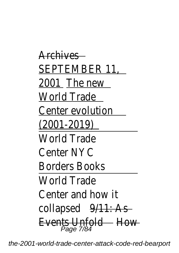**Archives** SEPTEMBER 11, 2001 The new World Trade Center evolution (2001-2019) World Trade Center NYC Borders Books World Trade Center and how it collapsed  $9/11$ : As **Events Unfold** How Page 7/84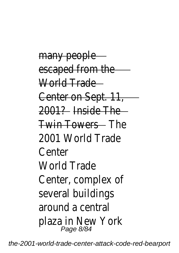many people escaped from the World Trade Center on Sept. 11, 2001? Inside The Twin Towers The 2001 World Trade Center World Trade Center, complex of several buildings around a central plaza in New York Page 8/84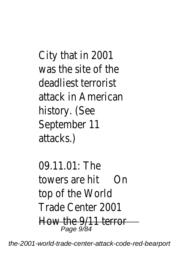City that in 2001 was the site of the deadliest terrorist attack in American history. (See September 11 attacks.)

09.11.01: The towers are hit On top of the World Trade Center 2001 How the 9/11 terror Page 9/84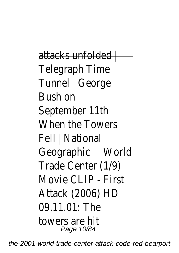attacks unfolded l Telegraph Time Tunnel - George Bush on September 11th When the Towers Fell | National Geographic World Trade Center (1/9) Movie CLIP - First Attack (2006) HD 09.11.01: The towers are hit Page 10/84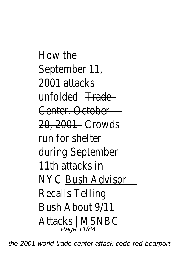How the September 11, 2001 attacks unfolded Trade Center. October 20, 2001 Crowds run for shelter during September 11th attacks in NYC Bush Advisor Recalls Telling Bush About 9/11 Attacks | MSNBC Page 11/84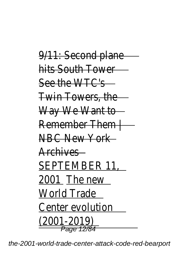9/11: Second plane hits South Tower See the WTC's Twin Towers, the Way We Want to Remember Them | NBC New York Archives SEPTEMBER 11, 2001 The new World Trade Center evolution (2001-2019) Page 12/84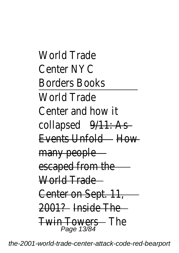World Trade Center NYC Borders Books World Trade Center and how it collapsed 9/11: As Events Unfold How many people escaped from the World Trade Center on Sept. 11, 2001? Inside The Twin Towers — The<br>Page 13/84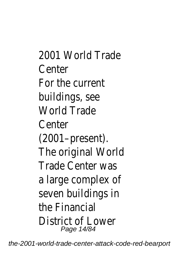2001 World Trade Center For the current buildings, see World Trade Center (2001–present). The original World Trade Center was a large complex of seven buildings in the Financial District of Lower Page 14/84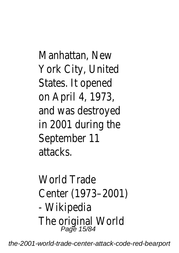Manhattan, New York City, United States. It opened on April 4, 1973, and was destroyed in 2001 during the September 11 attacks.

World Trade Center (1973–2001) - Wikipedia The original World Page 15/84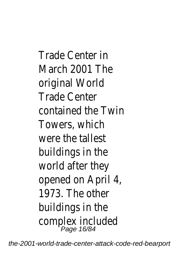Trade Center in March 2001 The original World Trade Center contained the Twin Towers, which were the tallest buildings in the world after they opened on April 4, 1973. The other buildings in the complex included Page 16/84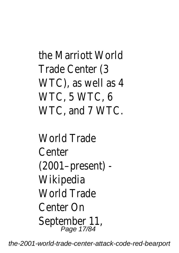```
the Marriott World
Trade Center (3
WTC), as well as 4
WTC, 5 WTC, 6
WTC, and 7 WTC.
```
World Trade Center (2001–present) - Wikipedia World Trade Center On September 11, Page 17/84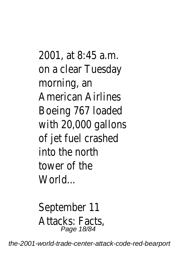2001, at 8:45 a.m. on a clear Tuesday morning, an American Airlines Boeing 767 loaded with 20,000 gallons of jet fuel crashed into the north tower of the World...

September 11 Attacks: Facts, Page 18/84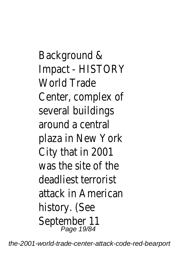Background & Impact - HISTORY World Trade Center, complex of several buildings around a central plaza in New York City that in 2001 was the site of the deadliest terrorist attack in American history. (See September 11 Page 19/84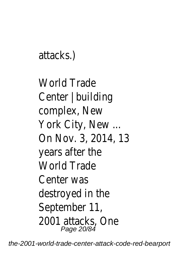```
attacks.)
```
World Trade Center | building complex, New York City, New ... On Nov. 3, 2014, 13 years after the World Trade Center was destroyed in the September 11, 2001 attacks, One Page 20/84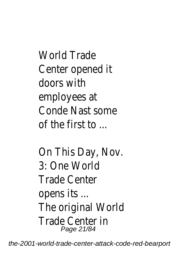World Trade Center opened it doors with employees at Conde Nast some of the first to  $\overline{\phantom{a}}$ 

On This Day, Nov. 3: One World Trade Center opens its ... The original World Trade Center in Page 21/84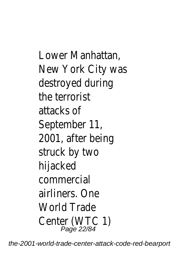Lower Manhattan, New York City was destroyed during the terrorist attacks of September 11, 2001, after being struck by two hijacked commercial airliners. One World Trade Center (WTC 1) Page 22/84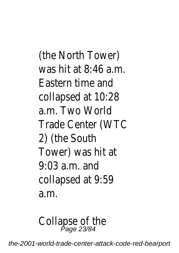(the North Tower) was hit at  $8.46$  a.m. Eastern time and collapsed at 10:28 a.m. Two World Trade Center (WTC 2) (the South Tower) was hit at  $9.03$  a.m. and collapsed at 9:59 a.m.

Collapse of the<br>Page 23/84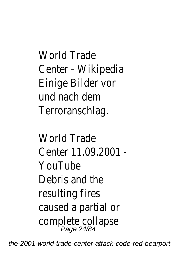World Trade Center - Wikipedia Einige Bilder vor und nach dem Terroranschlag.

World Trade Center 11.09.2001 - YouTube Debris and the resulting fires caused a partial or complete collapse Page 24/84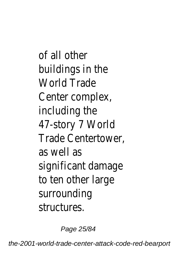of all other buildings in the World Trade Center complex, including the 47-story 7 World Trade Centertower, as well as significant damage to ten other large surrounding structures.

Page 25/84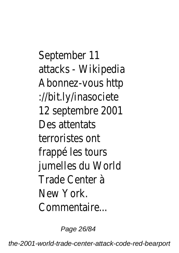September 11 attacks - Wikipedia Abonnez-vous http ://bit.ly/inasociete 12 septembre 2001 Des attentats terroristes ont frappé les tours jumelles du World Trade Center à New York. Commentaire...

Page 26/84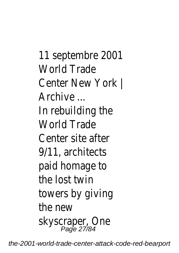11 septembre 2001 World Trade Center New York | Archive ... In rebuilding the World Trade Center site after 9/11, architects paid homage to the lost twin towers by giving the new skyscraper, One Page 27/84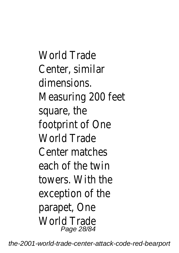World Trade Center, similar dimensions. Measuring 200 feet square, the footprint of One World Trade Center matches each of the twin towers. With the exception of the parapet, One World Trade Page 28/84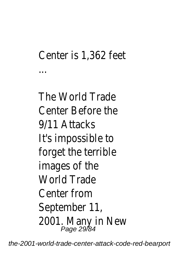## Center is 1,362 feet

...

The World Trade Center Before the 9/11 Attacks It's impossible to forget the terrible images of the World Trade Center from September 11, 2001. Many in New Page 29/84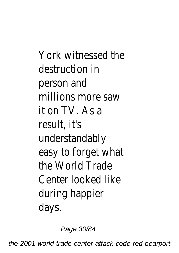York witnessed the destruction in person and millions more saw it on TV. As a result, it's understandably easy to forget what the World Trade Center looked like during happier days.

Page 30/84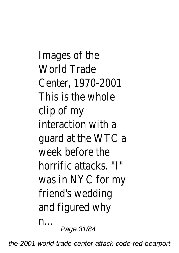Images of the World Trade Center, 1970-2001 This is the whole clip of my interaction with a guard at the WTC a week before the horrific attacks. "I" was in NYC for my friend's wedding and figured why n... Page 31/84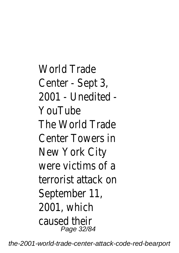World Trade Center - Sept 3, 2001 - Unedited - YouTube The World Trade Center Towers in New York City were victims of a terrorist attack on September 11, 2001, which caused their Page 32/84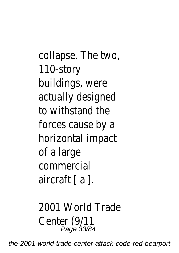collapse. The two, 110-story buildings, were actually designed to withstand the forces cause by a horizontal impact of a large commercial aircraft [ a ].

2001 World Trade Center (9/11<br><sup>23/84</sup> Page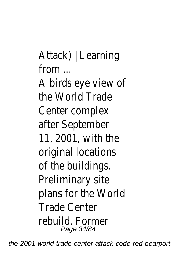Attack) | Learning  $from$ A birds eye view of the World Trade Center complex after September 11, 2001, with the original locations of the buildings. Preliminary site plans for the World Trade Center rebuild. Former Page 34/84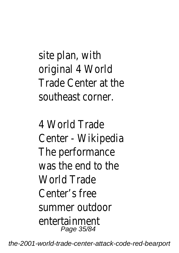site plan, with original 4 World Trade Center at the southeast corner.

4 World Trade Center - Wikipedia The performance was the end to the World Trade Center's free summer outdoor entertainment Page 35/84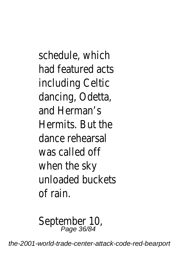schedule, which had featured acts including Celtic dancing, Odetta, and Herman's Hermits. But the dance rehearsal was called off when the sky unloaded buckets of rain.

September 10, Page 36/84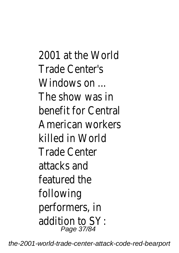2001 at the World Trade Center's Windows on ... The show was in benefit for Central American workers killed in World Trade Center attacks and featured the following performers, in addition to SY: Page 37/84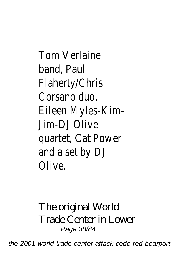Tom Verlaine band, Paul Flaherty/Chris Corsano duo, Eileen Myles-Kim-Jim-DJ Olive quartet, Cat Power and a set by DJ Olive.

#### The original World Trade Center in Lower Page 38/84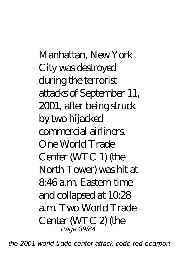Manhattan, New York City was destroyed during the terrorist attacks of September 11, 2001, after being struck by two hijacked commercial airliners. One World Trade Center (WTC 1) (the North Tower) was hit at 8:46 a.m. Eastern time and collapsed at 10:28 a.m. Two World Trade Center (WTC 2) (the Page 39/84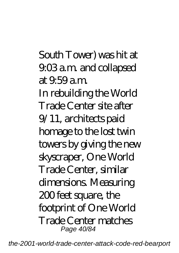South Tower) was hit at 9:03 a.m. and collapsed at 9:59 a.m. In rebuilding the World Trade Center site after 9/11, architects paid homage to the lost twin towers by giving the new skyscraper, One World Trade Center, similar dimensions. Measuring 200 feet square, the footprint of One World Trade Center matches Page 40/84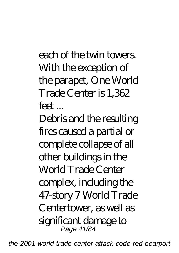each of the twin towers. With the exception of the parapet, One World Trade Center is 1,362 feet ...

Debris and the resulting fires caused a partial or complete collapse of all other buildings in the World Trade Center complex, including the 47-story 7 World Trade Centertower, as well as significant damage to Page 41/84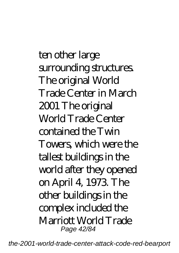ten other large surrounding structures. The original World Trade Center in March 2001 The original World Trade Center contained the Twin Towers, which were the tallest buildings in the world after they opened on April 4, 1973. The other buildings in the complex included the Marriott World Trade Page 42/84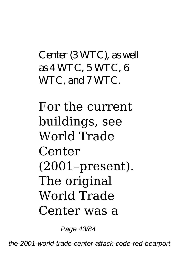### Center (3 WTC), as well as 4 WTC, 5 WTC, 6 WTC, and 7 WTC.

For the current buildings, see World Trade Center (2001–present). The original World Trade Center was a

Page 43/84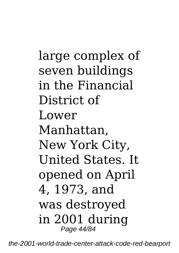large complex of seven buildings in the Financial District of Lower Manhattan, New York City, United States. It opened on April 4, 1973, and was destroyed in 2001 during Page 44/84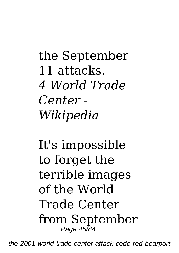the September 11 attacks. *4 World Trade Center - Wikipedia*

It's impossible to forget the terrible images of the World Trade Center from September Page 45/84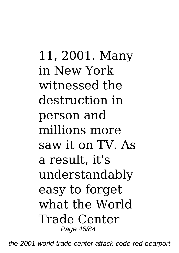11, 2001. Many in New York witnessed the destruction in person and millions more saw it on TV. As a result, it's understandably easy to forget what the World Trade Center Page 46/84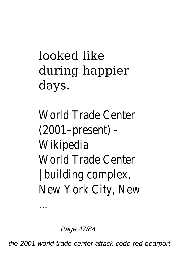# looked like during happier days.

World Trade Center (2001–present) - Wikipedia World Trade Center building complex, New York City, New

Page 47/84

...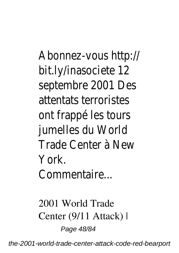Abonnez-vous http:// bit.ly/inasociete 12 septembre 2001 Des attentats terroristes ont frappé les tours jumelles du World Trade Center à New York. Commentaire...

*2001 World Trade Center (9/11 Attack) |* Page 48/84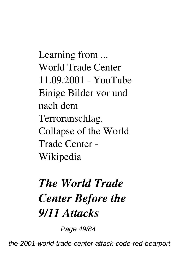*Learning from ... World Trade Center 11.09.2001 - YouTube* Einige Bilder vor und nach dem Terroranschlag. *Collapse of the World Trade Center - Wikipedia*

## *The World Trade Center Before the 9/11 Attacks*

Page 49/84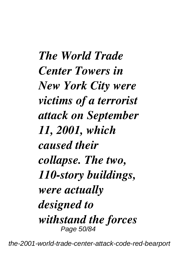*The World Trade Center Towers in New York City were victims of a terrorist attack on September 11, 2001, which caused their collapse. The two, 110-story buildings, were actually designed to withstand the forces* Page 50/84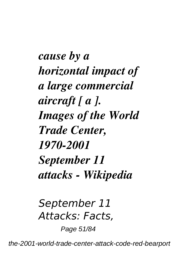*cause by a horizontal impact of a large commercial aircraft [ a ]. Images of the World Trade Center, 1970-2001 September 11 attacks - Wikipedia*

*September 11 Attacks: Facts,*

Page 51/84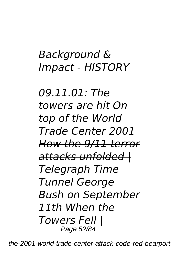### *Background & Impact - HISTORY*

*09.11.01: The towers are hit On top of the World Trade Center 2001 How the 9/11 terror attacks unfolded | Telegraph Time Tunnel George Bush on September 11th When the Towers Fell |* Page 52/84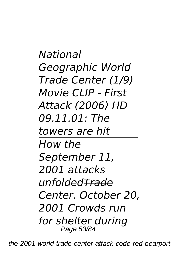*National Geographic World Trade Center (1/9) Movie CLIP - First Attack (2006) HD 09.11.01: The towers are hit How the September 11, 2001 attacks unfoldedTrade Center. October 20, 2001 Crowds run for shelter during* Page 53/84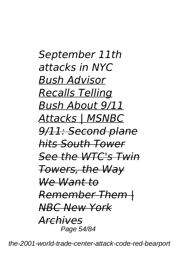*September 11th attacks in NYC Bush Advisor Recalls Telling Bush About 9/11 Attacks | MSNBC 9/11: Second plane hits South Tower See the WTC's Twin Towers, the Way We Want to Remember Them | NBC New York Archives* Page 54/84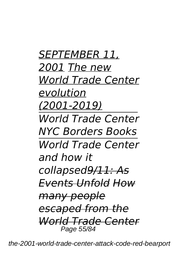*SEPTEMBER 11, 2001 The new World Trade Center evolution (2001-2019) World Trade Center NYC Borders Books World Trade Center and how it collapsed9/11: As Events Unfold How many people escaped from the World Trade Center* Page 55/84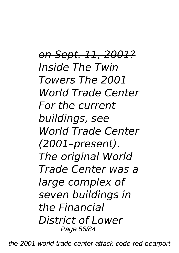*on Sept. 11, 2001? Inside The Twin Towers The 2001 World Trade Center For the current buildings, see World Trade Center (2001–present). The original World Trade Center was a large complex of seven buildings in the Financial District of Lower* Page 56/84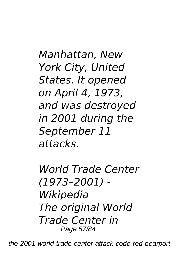*Manhattan, New York City, United States. It opened on April 4, 1973, and was destroyed in 2001 during the September 11 attacks.*

*World Trade Center (1973–2001) - Wikipedia The original World Trade Center in* Page 57/84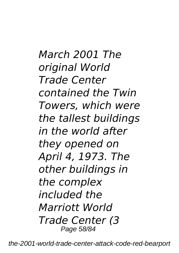*March 2001 The original World Trade Center contained the Twin Towers, which were the tallest buildings in the world after they opened on April 4, 1973. The other buildings in the complex included the Marriott World Trade Center (3* Page 58/84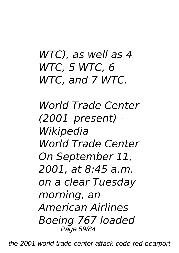### *WTC), as well as 4 WTC, 5 WTC, 6 WTC, and 7 WTC.*

*World Trade Center (2001–present) - Wikipedia World Trade Center On September 11, 2001, at 8:45 a.m. on a clear Tuesday morning, an American Airlines Boeing 767 loaded* Page 59/84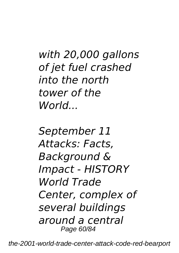*with 20,000 gallons of jet fuel crashed into the north tower of the World...*

*September 11 Attacks: Facts, Background & Impact - HISTORY World Trade Center, complex of several buildings around a central* Page 60/84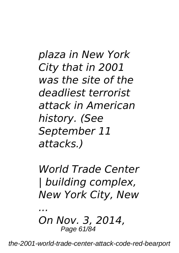*plaza in New York City that in 2001 was the site of the deadliest terrorist attack in American history. (See September 11 attacks.)*

*World Trade Center | building complex, New York City, New*

*On Nov. 3, 2014,* Page 61/84

*...*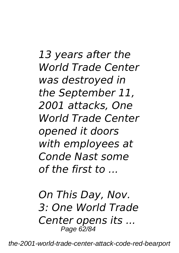*13 years after the World Trade Center was destroyed in the September 11, 2001 attacks, One World Trade Center opened it doors with employees at Conde Nast some of the first to ...*

*On This Day, Nov. 3: One World Trade Center opens its ...* Page 62/84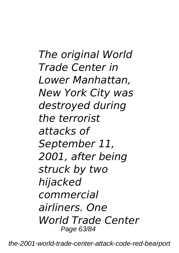*The original World Trade Center in Lower Manhattan, New York City was destroyed during the terrorist attacks of September 11, 2001, after being struck by two hijacked commercial airliners. One World Trade Center* Page 63/84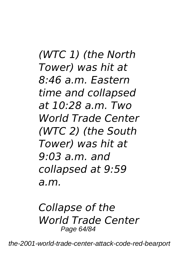*(WTC 1) (the North Tower) was hit at 8:46 a.m. Eastern time and collapsed at 10:28 a.m. Two World Trade Center (WTC 2) (the South Tower) was hit at 9:03 a.m. and collapsed at 9:59 a.m.*

*Collapse of the World Trade Center* Page 64/84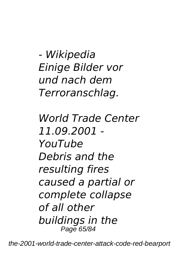*- Wikipedia Einige Bilder vor und nach dem Terroranschlag.*

*World Trade Center 11.09.2001 - YouTube Debris and the resulting fires caused a partial or complete collapse of all other buildings in the* Page 65/84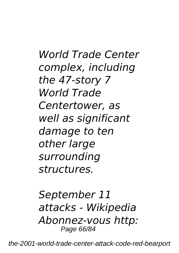*World Trade Center complex, including the 47-story 7 World Trade Centertower, as well as significant damage to ten other large surrounding structures.*

*September 11 attacks - Wikipedia Abonnez-vous http:* Page 66/84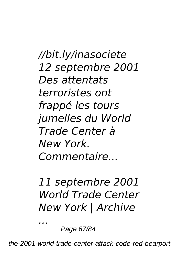*//bit.ly/inasociete 12 septembre 2001 Des attentats terroristes ont frappé les tours jumelles du World Trade Center à New York. Commentaire...*

*11 septembre 2001 World Trade Center New York | Archive*

Page 67/84

*...*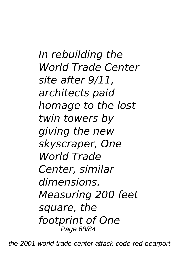*In rebuilding the World Trade Center site after 9/11, architects paid homage to the lost twin towers by giving the new skyscraper, One World Trade Center, similar dimensions. Measuring 200 feet square, the footprint of One* Page 68/84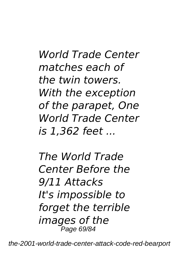*World Trade Center matches each of the twin towers. With the exception of the parapet, One World Trade Center is 1,362 feet ...*

*The World Trade Center Before the 9/11 Attacks It's impossible to forget the terrible images of the* Page 69/84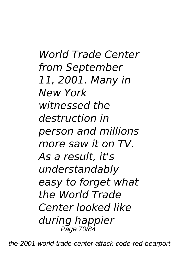*World Trade Center from September 11, 2001. Many in New York witnessed the destruction in person and millions more saw it on TV. As a result, it's understandably easy to forget what the World Trade Center looked like during happier* Page 70/84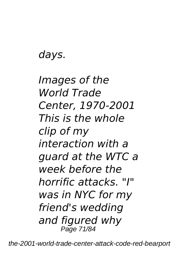*days.*

*Images of the World Trade Center, 1970-2001 This is the whole clip of my interaction with a guard at the WTC a week before the horrific attacks. "I" was in NYC for my friend's wedding and figured why* Page 71/84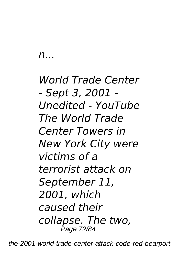*n...*

*World Trade Center - Sept 3, 2001 - Unedited - YouTube The World Trade Center Towers in New York City were victims of a terrorist attack on September 11, 2001, which caused their collapse. The two,* Page 72/84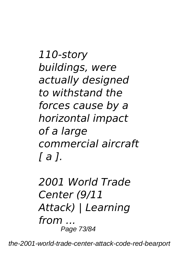*110-story buildings, were actually designed to withstand the forces cause by a horizontal impact of a large commercial aircraft [ a ].*

*2001 World Trade Center (9/11 Attack) | Learning from ...* Page 73/84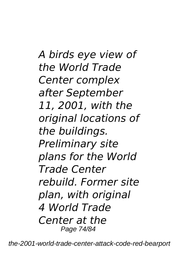*A birds eye view of the World Trade Center complex after September 11, 2001, with the original locations of the buildings. Preliminary site plans for the World Trade Center rebuild. Former site plan, with original 4 World Trade Center at the* Page 74/84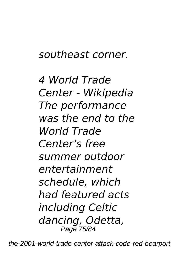## *southeast corner.*

*4 World Trade Center - Wikipedia The performance was the end to the World Trade Center's free summer outdoor entertainment schedule, which had featured acts including Celtic dancing, Odetta,* Page 75/84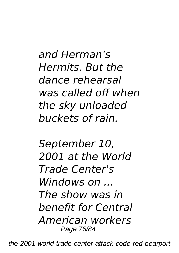*and Herman's Hermits. But the dance rehearsal was called off when the sky unloaded buckets of rain.*

*September 10, 2001 at the World Trade Center's Windows on ... The show was in benefit for Central American workers* Page 76/84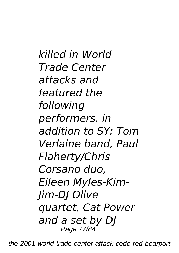*killed in World Trade Center attacks and featured the following performers, in addition to SY: Tom Verlaine band, Paul Flaherty/Chris Corsano duo, Eileen Myles-Kim-Jim-DJ Olive quartet, Cat Power and a set by DJ* Page 77/84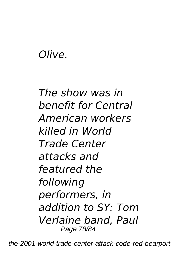## *Olive.*

*The show was in benefit for Central American workers killed in World Trade Center attacks and featured the following performers, in addition to SY: Tom Verlaine band, Paul* Page 78/84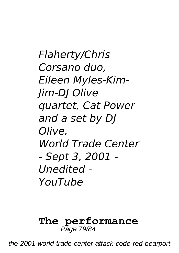*Flaherty/Chris Corsano duo, Eileen Myles-Kim-Jim-DJ Olive quartet, Cat Power and a set by DJ Olive. World Trade Center - Sept 3, 2001 - Unedited - YouTube*

## **The performance** Page 79/84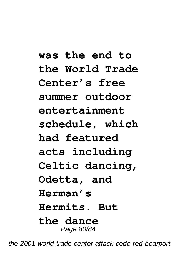**was the end to the World Trade Center's free summer outdoor entertainment schedule, which had featured acts including Celtic dancing, Odetta, and Herman's Hermits. But the dance** Page 80/84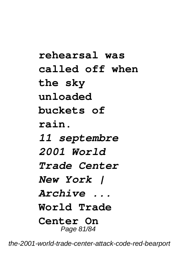**rehearsal was called off when the sky unloaded buckets of rain.** *11 septembre 2001 World Trade Center New York | Archive ...* **World Trade Center On** Page 81/84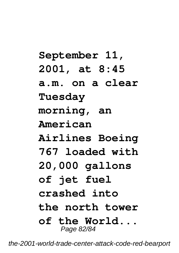**September 11, 2001, at 8:45 a.m. on a clear Tuesday morning, an American Airlines Boeing 767 loaded with 20,000 gallons of jet fuel crashed into the north tower of the World...** Page 82/84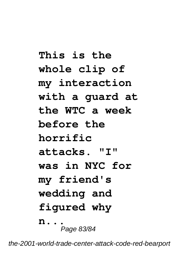**This is the whole clip of my interaction with a guard at the WTC a week before the horrific attacks. "I" was in NYC for my friend's wedding and figured why n...** Page 83/84